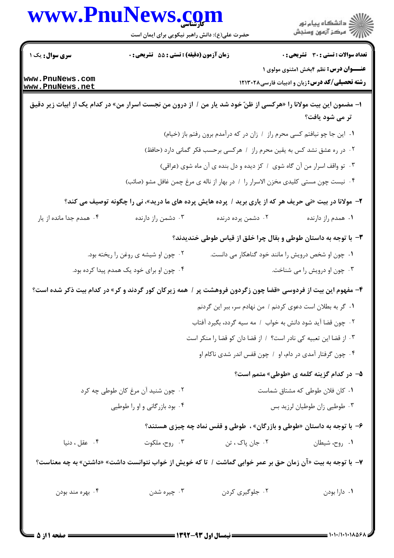| www.PnuNews.com                    | حضرت علی(ع): دانش راهبر نیکویی برای ایمان است                                                                   |                                                                                    |                                                                                                       |
|------------------------------------|-----------------------------------------------------------------------------------------------------------------|------------------------------------------------------------------------------------|-------------------------------------------------------------------------------------------------------|
| <b>سری سوال :</b> یک ۱             | زمان آزمون (دقیقه) : تستی : 55 آتشریحی : 0                                                                      |                                                                                    | <b>تعداد سوالات : تستی : 30 - تشریحی : 0</b>                                                          |
| www.PnuNews.com<br>www.PnuNews.net |                                                                                                                 |                                                                                    | <b>عنـــوان درس:</b> نظم ۴بخش ۱مثنوی مولوی ۱<br><b>رشته تحصیلی/کد درس:</b> زبان و ادبیات فارسی۱۲۱۳۰۲۸ |
|                                    | ا- مضمون این بیت مولانا را «هرکسی از ظنّ خود شد یار من / از درون من نجست اسرار من» در کدام یک از ابیات زیر دقیق |                                                                                    | تر می شود یافت؟                                                                                       |
|                                    |                                                                                                                 | ١. اين جا چو نيافتم كسى محرم راز ١ زان در كه درآمدم برون رفتم باز (خيام)           |                                                                                                       |
|                                    |                                                                                                                 | ۰۲ در ره عشق نشد کس به یقین محرم راز ۱ هرکسی برحسب فکر گمانی دارد (حافظ)           |                                                                                                       |
|                                    |                                                                                                                 | ۰۳ تو واقف اسرار من آن گاه شوی ۱ کز دیده و دل بنده ی آن ماه شوی (عراقی)            |                                                                                                       |
|                                    |                                                                                                                 | ۰۴ نیست چون مستی کلیدی مخزن الاسرار را ۱ در بهار از ناله ی مرغ چمن غافل مشو (صائب) |                                                                                                       |
|                                    | ۲- مولانا در بیت «نی حریف هر که از یاری برید / پرده هایش پرده های ما درید»، نی را چگونه توصیف می کند؟           |                                                                                    |                                                                                                       |
| ۰۴ همدم جدا مانده از یار           | ۰۳ دشمن راز دارنده                                                                                              | ۰۲ دشمن پرده درنده                                                                 | ۰۱ همدم راز دارنده                                                                                    |
|                                    |                                                                                                                 | ۳- با توجه به داستان طوطی و بقال چرا خلق از قیاس طوطی خندیدند؟                     |                                                                                                       |
|                                    | ۰۲ چون او شیشه ی روغن را ریخته بود.                                                                             |                                                                                    | ۰۱ چون او شخص درویش را مانند خود گناهکار می دانست.                                                    |
|                                    | ۰۴ چون او برای خود یک همدم پیدا کرده بود.                                                                       |                                                                                    | ۰۳ چون او درویش را می شناخت.                                                                          |
|                                    | ۴- مفهوم این بیت از فردوسی «قضا چون زگردون فروهشت پر / همه زیرکان کور گردند و کر» در کدام بیت ذکر شده است؟      |                                                                                    |                                                                                                       |
|                                    |                                                                                                                 | ٠١ گر به بطلان است دعوى كردنم / من نهادم سر، ببر اين گردنم                         |                                                                                                       |
|                                    |                                                                                                                 | ٢.  چون قضا آيد شود دانش به خواب ١ مه سيه گردد، بگيرد آفتاب                        |                                                                                                       |
|                                    |                                                                                                                 | ٠٣. از قضا اين تعبيه كي نادر است؟ / از قضا دان كو قضا را منكر است                  |                                                                                                       |
|                                    |                                                                                                                 | ۰۴ چون گرفتار آمدی در دام، او ۱ چون قفس اندر شدی ناکام او                          |                                                                                                       |
|                                    |                                                                                                                 |                                                                                    | ۵– در کدام گزینه کلمه ی «طوطی» متمم است؟                                                              |
|                                    | ۰۲ چون شنید آن مرغ کان طوطی چه کرد                                                                              |                                                                                    | ٠١ كان فلان طوطى كه مشتاق شماست                                                                       |
|                                    | ۰۴ بود بازرگانی و او را طوطیی                                                                                   |                                                                                    | ۰۳ طوطیی زان طوطیان لرزید بس                                                                          |
|                                    |                                                                                                                 | ۶- با توجه به داستان «طوطی و بازرگان» ، طوطی و قفس نماد چه چیزی هستند؟             |                                                                                                       |
| ۰۴ عقل ، دنیا                      | ۰۳ روح، ملکوت                                                                                                   | ۰۲ جان پاک ، تن                                                                    | ۰۱ روح، شيطان                                                                                         |
|                                    | ۷–  با توجه به بیت «آن زمان حق بر عمر خوابی گماشت /  تا که خویش از خواب نتوانست داشت» «داشتن» به چه معناست؟     |                                                                                    |                                                                                                       |
| ۰۴ بهره مند بودن                   | ۰۳ چیره شدن                                                                                                     | ٠٢ جلوگيري كردن                                                                    | ٠١. دارا بودن                                                                                         |
|                                    |                                                                                                                 |                                                                                    |                                                                                                       |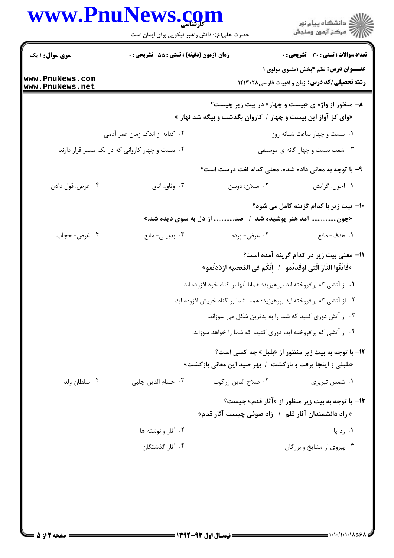|                                    | www.PnuNews.com<br>حضرت علی(ع): دانش راهبر نیکویی برای ایمان است |                                                                                                                   | انشڪاه پيام نور)<br>اڳ مرڪز آزمون وسنڊش                                                              |
|------------------------------------|------------------------------------------------------------------|-------------------------------------------------------------------------------------------------------------------|------------------------------------------------------------------------------------------------------|
| <b>سری سوال : ۱ یک</b>             | زمان آزمون (دقیقه) : تستی : 55 آتشریحی : 0                       |                                                                                                                   | تعداد سوالات : تستي : 30 ٪ تشريحي : 0                                                                |
| www.PnuNews.com<br>www.PnuNews.net |                                                                  |                                                                                                                   | <b>عنــوان درس:</b> نظم ۴بخش ۱مثنوی مولوی ۱<br><b>رشته تحصیلی/کد درس:</b> زبان و ادبیات فارسی۱۲۱۳۰۲۸ |
|                                    |                                                                  | ۸- منظور از واژه ی «بیست و چهار» در بیت زیر چیست؟<br>«وای کز آواز این بیست و چهار / کاروان بگذشت و بیگه شد نهار » |                                                                                                      |
|                                    | ۰۲ کنایه از اندک زمان عمر آدمی                                   |                                                                                                                   | ٠١. بيست و چهار ساعت شبانه روز                                                                       |
|                                    | ۰۴ بیست و چهار کاروانی که در یک مسیر قرار دارند                  |                                                                                                                   | ۰۳ شعب بیست و چهار گانه ی موسیقی                                                                     |
|                                    |                                                                  | ۹- با توجه به معانی داده شده، معنی کدام لغت درست است؟                                                             |                                                                                                      |
| ۰۴ غرض: قول دادن                   | ۰۳ وثاق: اتاق                                                    | ٠٢ ميلان: دوبين                                                                                                   | ٠١ احول: گرايش                                                                                       |
|                                    |                                                                  |                                                                                                                   | ∙ا− بیت زیر با کدام گزینه کامل می شود؟                                                               |
|                                    |                                                                  | «چون آمد هنر پوشیده شد ۱ صد از دل به سوی دیده شد.»                                                                |                                                                                                      |
| ۰۴ غرض- حجاب                       | ۰۳ بدبینی- مانع                                                  | ۰۲ غرض- پرده                                                                                                      | ٠١. هدف-مانع                                                                                         |
|                                    |                                                                  | «فَاتَّقُوا النَّارَ الَّتى اَوقَدتُمو    /   اِنَّكُم في المَعصيه ازدَدتُمو»                                     | 11– معنی بیت زیر در کدام گزینه آمده است؟                                                             |
|                                    |                                                                  | ۰۱ از آتشی که برافروخته اند بپرهیزید؛ همانا آنها بر گناه خود افزوده اند.                                          |                                                                                                      |
|                                    |                                                                  | ۲ . از آتشی که برافروخته اید بپرهیزید؛ همانا شما بر گناه خویش افزوده اید.                                         |                                                                                                      |
|                                    |                                                                  | ۰۳ از آتش دوری کنید که شما را به بدترین شکل می سوزاند.                                                            |                                                                                                      |
|                                    |                                                                  | ۰۴ از آتشی که برافروخته اید، دوری کنید، که شما را خواهد سوزاند.                                                   |                                                                                                      |
|                                    |                                                                  | «بلبلی ز اینجا برفت و بازگشت / بهر صید این معانی بازگشت»                                                          | <b>۱۲</b> - با توجه به بیت زیر منظور از «بلبل» چه کسی است؟                                           |
| ۰۴ سلطان ولد                       | ۰۳ حسام الدین چلبی                                               | ٠٢ صلاح الدين زركوب                                                                                               | ۰۱ شمس تبریزی                                                                                        |
|                                    |                                                                  | « زاد دانشمندان آثار قلم ٪ زاد صوفی چیست آثار قدم»                                                                | ۱۳- با توجه به بیت زیر منظور از «آثار قدم» چیست؟                                                     |
|                                    | ۰۲ آثار و نوشته ها                                               |                                                                                                                   | ۰۱ رد پا                                                                                             |
|                                    | ۰۴ آثار گذشتگان                                                  |                                                                                                                   | ۰۳ پیروی از مشایخ و بزرگان                                                                           |
|                                    |                                                                  |                                                                                                                   |                                                                                                      |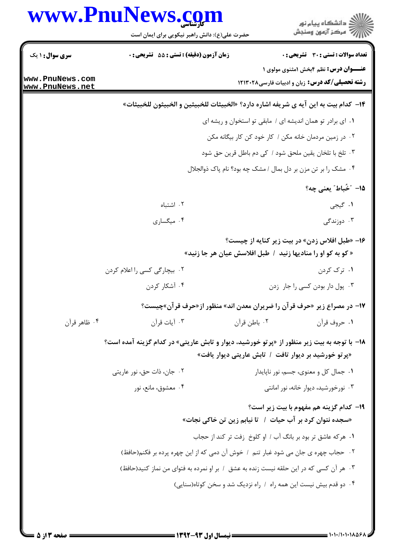| www.PnuNews.com                    | حضرت علی(ع): دانش راهبر نیکویی برای ایمان است                                                      |              | ڪ دانشڪاه پيا <sub>م</sub> نور<br>∕ِ <i>"مرڪز</i> آزمون وسنڊش                                                |
|------------------------------------|----------------------------------------------------------------------------------------------------|--------------|--------------------------------------------------------------------------------------------------------------|
| <b>سری سوال : ۱ یک</b>             | زمان آزمون (دقیقه) : تستی : 55 گشریحی : 0                                                          |              | <b>تعداد سوالات : تستي : 30 ٪ تشريحي : 0</b>                                                                 |
| www.PnuNews.com<br>www.PnuNews.net |                                                                                                    |              | <b>عنــوان درس:</b> نظم ۴بخش ۱مثنوی مولوی ۱<br><b>رشته تحصیلی/کد درس:</b> زبان و ادبیات فارسی۱۲۱۳۰۲۸         |
|                                    | 1۴–  كدام بيت به اين آيه ي شريفه اشاره دارد؟ «الخبيثات للخبيثين و الخبيثون للخبيثات»               |              |                                                                                                              |
|                                    |                                                                                                    |              | ۰۱ ای برادر تو همان اندیشه ای / مابقی تو استخوان و ریشه ای                                                   |
|                                    |                                                                                                    |              | ۰۲ در زمین مردمان خانه مکن / کار خود کن کار بیگانه مکن                                                       |
|                                    |                                                                                                    |              | ۰۳ تلخ با تلخان یقین ملحق شود / کی دم باطل قرین حق شود                                                       |
|                                    |                                                                                                    |              | ۰۴ مشک را بر تن مزن بر دل بمال / مشک چه بود؟ نام پاک ذوالجلال                                                |
|                                    |                                                                                                    |              | 1۵– "خُباط″ يعني چه؟                                                                                         |
|                                    | ۰۲ اشتباه                                                                                          |              | <b>۱.</b> گیجی                                                                                               |
|                                    | ۰۴ میگساری                                                                                         |              | ۰۳ دوزندگی                                                                                                   |
|                                    |                                                                                                    |              | ۱۶- «طبل افلاس زدن» در بیت زیر کنایه از چیست؟<br>« کو به کو او را منادیها زنید / طبل افلاسش عیان هر جا زنید» |
|                                    | ۰۲ بیچارگی کسی را اعلام کردن                                                                       |              | ۰۱ ترک کردن                                                                                                  |
|                                    | ۰۴ آشکار کردن                                                                                      |              | ٠٣ پول دار بودن کسی را جار زدن                                                                               |
|                                    | ۱۷- در مصراع زیر «حرف قرآن را ضریران معدن اند» منظور از«حرف قرآن»چیست؟                             |              |                                                                                                              |
| ۰۴ ظاهر قرآن                       | ۰۳ آيات قرآن                                                                                       | ۰۲ باطن قرآن | ۰۱ حروف قرآن                                                                                                 |
|                                    | <b>۱۸</b> - با توجه به بیت زیر منظور از «پرتو خورشید، دیوار و تابش عاریتی» در کدام گزینه آمده است؟ |              | «پرتو خورشید بر دیوار تافت ۱ تابش عاریتی دیوار یافت»                                                         |
|                                    | ۰۲ جان، ذات حق، نور عاریتی                                                                         |              | ٠١ جمال كل و معنوى، جسم، نور ناپايدار                                                                        |
|                                    | ۰۴ معشوق، مانع، نور                                                                                |              | ۰۳ نورخورشید، دیوار خانه، نور امانتی                                                                         |
|                                    |                                                                                                    |              | <b>۱۹</b> - کدام گزینه هم مفهوم با بیت زیر است؟<br>«سجده نتوان کرد بر آب حیات ۱٪ تا نیابم زین تن خاکی نجات»  |
|                                    |                                                                                                    |              | ۰۱ هرکه عاشق تر بود بر بانگ آب / او کلوخ ِ زفت تر کند از حجاب                                                |
|                                    | ۰۲ حجاب چهره ی جان می شود غبار تنم ۱ خوش آن دمی که از این چهره پرده بر فکنم(حافظ)                  |              |                                                                                                              |
|                                    | ۰۳ هر آن کسی که در این حلقه نیست زنده به عشق ۱ بر او نمرده به فتوای من نماز کنید(حافظ)             |              |                                                                                                              |
|                                    |                                                                                                    |              | ۰۴ دو قدم بیش نیست این همه راه ۱ راه نزدیک شد و سخن کوتاه(سنایی)                                             |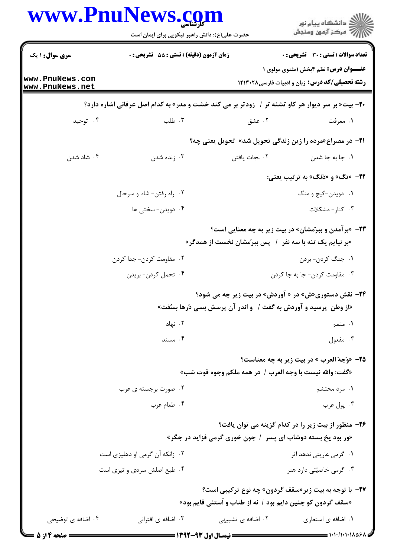| www.PnuNews.com                    | حضرت علی(ع): دانش راهبر نیکویی برای ایمان است                                                           |                                                                   | ڪ دانشڪاه پيا <sub>م</sub> نور<br>ر <i>7</i> مرڪز آزمون وسنڊش                                         |
|------------------------------------|---------------------------------------------------------------------------------------------------------|-------------------------------------------------------------------|-------------------------------------------------------------------------------------------------------|
| سری سوال: ۱ یک                     | زمان آزمون (دقیقه) : تستی : 55 آتشریحی : 0                                                              |                                                                   | <b>تعداد سوالات : تستی : 30 ٪ تشریحی : 0</b>                                                          |
| www.PnuNews.com<br>www.PnuNews.net |                                                                                                         |                                                                   | <b>عنـــوان درس:</b> نظم ۴بخش ۱مثنوی مولوی ۱<br><b>رشته تحصیلی/کد درس:</b> زبان و ادبیات فارسی1۲۱۳۰۲۸ |
|                                    | <b>۲۰</b> - بیت« بر سر دیوار هر کاو تشنه تر / زودتر بر می کند خشت و مدر» به کدام اصل عرفانی اشاره دارد؟ |                                                                   |                                                                                                       |
| ۰۴ توحید                           | ۰۳ طلب                                                                                                  | ۰۲ عشق                                                            | ٠١ معرفت                                                                                              |
|                                    |                                                                                                         |                                                                   | <b>۲۱</b> - در مصراع«مرده را زین زندگی تحویل شد» تحویل یعنی چه؟                                       |
| ۰۴ شاد شدن                         | ۰۳ زنده شدن                                                                                             | ٠٢ نجات يافتن                                                     | ۰۱ جا به جا شدن                                                                                       |
|                                    |                                                                                                         |                                                                   | <b>۲۲</b> - «تگ» و «دَنگ» به ترتیب یعنی:                                                              |
|                                    | ۰۲ راه رفتن- شاد و سرحال                                                                                |                                                                   | ۰۱ دویدن-گیج و منگ                                                                                    |
|                                    | ۰۴ دویدن- سختی ها                                                                                       |                                                                   | ۰۳ کنار-مشکلات                                                                                        |
|                                    |                                                                                                         | «بر نیایم یک تنه با سه نفر ۱ ٖ پس ببرّمشان نخست از همدگر»         | <b>۲۳</b> - «برآمدن و ببرّمشان» در بیت زیر به چه معنایی است؟                                          |
|                                    | ٢.  مقاومت كردن- جدا كردن                                                                               |                                                                   | ۰۱ جنگ کردن- بردن                                                                                     |
|                                    | ۰۴ تحمل كردن- بريدن                                                                                     |                                                                   | ۰۳ مقاومت کردن- جا به جا کردن                                                                         |
|                                    |                                                                                                         | «از وطن ۖ پرسید و آوردش به گفت / ۔و اندر آن پرسش بسی دُرها بسُفت» | <b>۳۴</b> - نقش دستوری«ش» در « آوردش» در بیت زیر چه می شود؟                                           |
|                                    | ۰۲ نهاد                                                                                                 |                                                                   | ۱. متمم                                                                                               |
|                                    | ۰۴ مسند                                                                                                 |                                                                   | ۰۳ مفعول                                                                                              |
|                                    |                                                                                                         |                                                                   | <b>۲۵</b> - «وَجهَ العرب » در بيت زير به چه معناست؟                                                   |
|                                    |                                                                                                         | «گفت: والله نيست با وجه العرب /  در همه ملكم وجوه قوت شب»         |                                                                                                       |
|                                    | ۰۲ صورت برجسته ی عرب                                                                                    |                                                                   | ۰۱ مرد محتشم                                                                                          |
|                                    | ۰۴ طعام عرب                                                                                             |                                                                   | ۰۳ پول عرب                                                                                            |
|                                    |                                                                                                         |                                                                   | ۲۶- منظور از بیت زیر را در کدام گزینه می توان یافت؟                                                   |
|                                    |                                                                                                         | «ور بود یخ بسته دوشاب ای پسر ۱ چون خوری گرمی فزاید در جگر»        |                                                                                                       |
|                                    | ۰۲ زانکه آن گرمی او دهلیزی است                                                                          |                                                                   | ۰۱ گرمی عاریتی ندهد اثر                                                                               |
|                                    | ۰۴ طبع اصلش سردی و تیزی است                                                                             |                                                                   | ۰۳ گرمی خاصیتی دارد هنر                                                                               |
|                                    |                                                                                                         |                                                                   | <b>۲۷- با توجه به بیت زیر «سقف گردون» چه نوع ترکیبی است؟</b>                                          |
|                                    |                                                                                                         | «سقف گردون کو چنین دایم بود / نه از طناب و آستنی قایم بود»        |                                                                                                       |
| ۰۴ اضافه ی توضیحی                  | ۰۳ اضافه ی اقترانی                                                                                      | ۰۲ اضافه ی تشبیهی                                                 | ۰۱ اضافه ی استعاری                                                                                    |